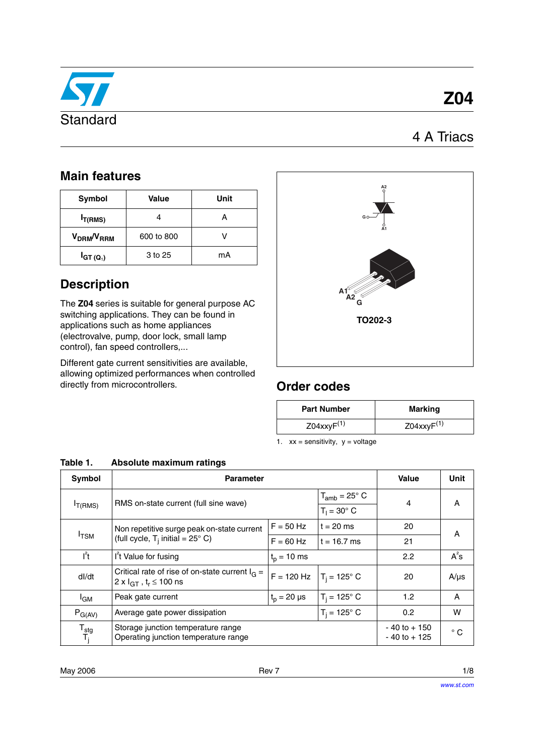

# **Z04**

## 4 A Triacs

## **Main features**

| Symbol                             | Value      | Unit |
|------------------------------------|------------|------|
| $I_{T(RMS)}$                       |            | Α    |
| V <sub>DRM</sub> /V <sub>RRM</sub> | 600 to 800 |      |
| $I_{GT(Q_1)}$                      | 3 to 25    | mA   |

## **Description**

The **Z04** series is suitable for general purpose AC switching applications. They can be found in applications such as home appliances (electrovalve, pump, door lock, small lamp control), fan speed controllers,...

Different gate current sensitivities are available, allowing optimized performances when controlled directly from microcontrollers. **Order codes**



| <b>Part Number</b>  | Marking             |
|---------------------|---------------------|
| $Z04$ xxy $F^{(1)}$ | $Z04$ xxy $F^{(1)}$ |

<span id="page-0-0"></span>1.  $xx =$  sensitivity,  $y =$  voltage

| Table 1. | Absolute maximum ratings |
|----------|--------------------------|
|          |                          |

| Symbol                             | <b>Parameter</b>                                                                                     |                                    | Value                      | Unit   |           |
|------------------------------------|------------------------------------------------------------------------------------------------------|------------------------------------|----------------------------|--------|-----------|
|                                    | RMS on-state current (full sine wave)                                                                |                                    | $T_{amb}$ = 25 $\degree$ C | 4      | A         |
| $I_{T(RMS)}$                       |                                                                                                      |                                    | $T_1 = 30^\circ$ C         |        |           |
|                                    | Non repetitive surge peak on-state current                                                           | $F = 50$ Hz                        | $t = 20$ ms                | 20     | A         |
|                                    | I <sub>TSM</sub><br>(full cycle, $T_i$ initial = 25° C)                                              |                                    | $t = 16.7$ ms              | 21     |           |
| $I^2t$                             | I <sup>'</sup> t Value for fusing                                                                    |                                    | 2.2                        | $A^2s$ |           |
| dl/dt                              | Critical rate of rise of on-state current $I_G =$<br>$F = 120$ Hz<br>2 x $I_{GT}$ , $t_r \le 100$ ns |                                    | $T_i = 125^\circ C$        | 20     | $A/\mu s$ |
| <sup>I</sup> GM                    | Peak gate current                                                                                    | $T_i = 125^\circ$ C                | 1.2                        | A      |           |
| $P_{G(AV)}$                        | Average gate power dissipation                                                                       | 0.2                                | W                          |        |           |
| T <sub>stg</sub><br>T <sub>i</sub> | Storage junction temperature range<br>Operating junction temperature range                           | $-40$ to $+150$<br>$-40$ to $+125$ | $^{\circ}$ C               |        |           |

May 2006 Rev 7 1/8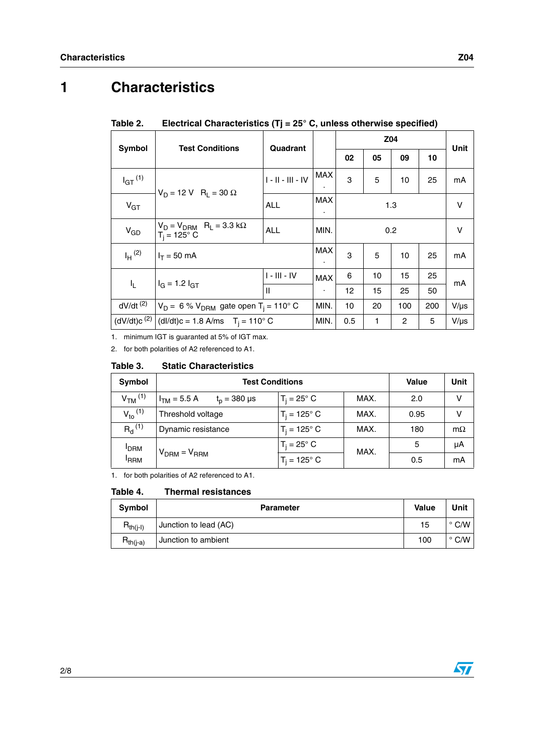# **1 Characteristics**

| Symbol                  | <b>Test Conditions</b>                                                               | Quadrant            |                              | Z04 |    |                | Unit |           |
|-------------------------|--------------------------------------------------------------------------------------|---------------------|------------------------------|-----|----|----------------|------|-----------|
|                         |                                                                                      |                     |                              | 02  | 05 | 09             | 10   |           |
| $I_{GT}$ <sup>(1)</sup> | $V_D = 12 V R_1 = 30 \Omega$                                                         | $1 - 11 - 111 - 1V$ | <b>MAX</b>                   | 3   | 5  | 10             | 25   | mA        |
| $V_{GT}$                |                                                                                      | <b>ALL</b>          | <b>MAX</b><br>$\blacksquare$ | 1.3 |    |                |      | $\vee$    |
| $V_{GD}$                | $V_D = V_{DRM}$ R <sub>L</sub> = 3.3 k $\Omega$<br><b>ALL</b><br>$T_i = 125^\circ$ C |                     | MIN.                         | 0.2 |    |                |      | $\vee$    |
| $I_H$ (2)               | $I_T = 50$ mA                                                                        |                     | <b>MAX</b><br>٠              | 3   | 5  | 10             | 25   | mA        |
| I <sub>L</sub>          | $I_G = 1.2 I_{GT}$                                                                   | $I - III - IV$      | <b>MAX</b>                   | 6   | 10 | 15             | 25   | mA        |
|                         |                                                                                      | $\mathbf{I}$        | $\blacksquare$               | 12  | 15 | 25             | 50   |           |
| $dV/dt$ <sup>(2)</sup>  | $V_D = 6$ % $V_{DRM}$ gate open T <sub>i</sub> = 110° C                              |                     | MIN.                         | 10  | 20 | 100            | 200  | $V/\mu s$ |
| (dV/dt)c <sup>(2)</sup> | (dl/dt)c = 1.8 A/ms $T_i = 110^\circ$ C                                              |                     | MIN.                         | 0.5 | 1  | $\overline{2}$ | 5    | $V/\mu s$ |

### Table 2. **Electrical Characteristics (Tj = 25° C, unless otherwise specified)**

1. minimum IGT is guaranted at 5% of IGT max.

2. for both polarities of A2 referenced to A1.

### Table 3. **Static Characteristics**

| Symbol               | <b>Test Conditions</b>                   | Value                         | Unit |      |           |
|----------------------|------------------------------------------|-------------------------------|------|------|-----------|
| $VTM$ <sup>(1)</sup> | $I_{TM}$ = 5.5 A<br>$t_{\rm p}$ = 380 µs | $T_i = 25^\circ$ C            | MAX. | 2.0  | v         |
| $V_{to}$ (1)         | Threshold voltage                        | MAX.<br>$T_i = 125^{\circ}$ C |      | 0.95 | v         |
| $R_{d}^{(1)}$        | Dynamic resistance                       | MAX.<br>$T_i = 125^{\circ} C$ |      | 180  | $m\Omega$ |
| <b>I</b> DRM         |                                          | $T_i = 25^\circ$ C            | MAX. | 5    | μA        |
| <sup>I</sup> RRM     | $V_{DRM} = V_{RRM}$                      | $T_i = 125^{\circ} C$         |      | 0.5  | mA        |

<span id="page-1-0"></span>1. for both polarities of A2 referenced to A1.

#### Table 4. **Thermal resistances**

| Symbol                                                   | <b>Parameter</b>      | <b>Value</b> | Unit           |
|----------------------------------------------------------|-----------------------|--------------|----------------|
| $\mathsf{R}_{\mathsf{th}(\mathsf{i}\text{-}\mathsf{l})}$ | Junction to lead (AC) | 15           | $^{\circ}$ C/W |
| $R_{th(i-a)}$                                            | Junction to ambient   | 100          | $^{\circ}$ C/W |

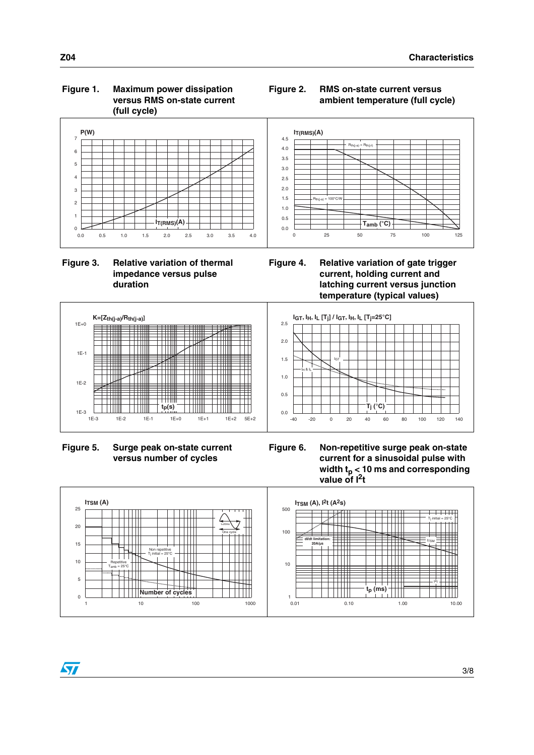## **Figure 1. Maximum power dissipation versus RMS on-state current (full cycle)**



 **Figure 3. Relative variation of thermal impedance versus pulse duration**



**Figure 2. RMS on-state current versus** 

**ambient temperature (full cycle)**



 **Figure 5. Surge peak on-state current versus number of cycles**



**Figure 6. Non-repetitive surge peak on-state current for a sinusoidal pulse with width tp < 10 ms and corresponding**  value of  $I^2t$ 



ST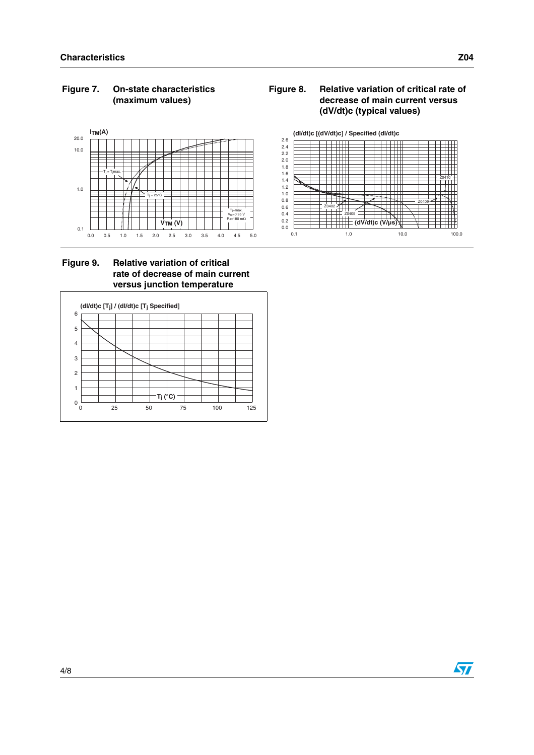## **Figure 7. On-state characteristics (maximum values)**









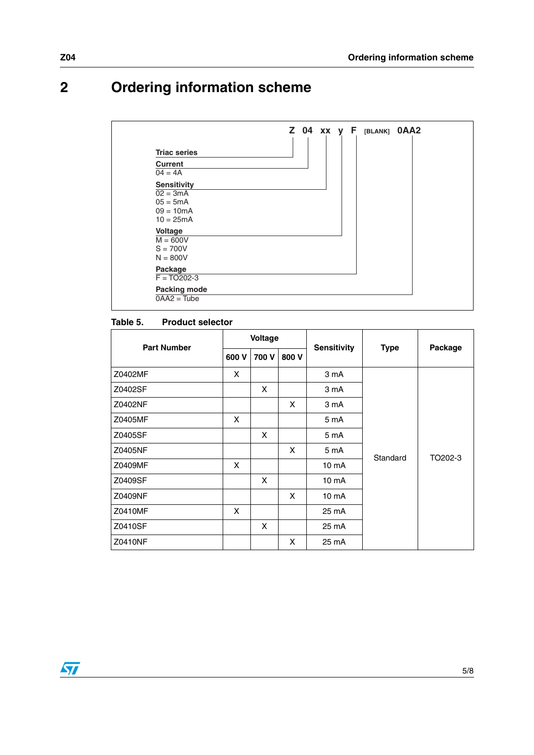# **2 Ordering information scheme**

| <b>Triac series</b>        |  |  |  |
|----------------------------|--|--|--|
| <b>Current</b>             |  |  |  |
| $04 = 4A$                  |  |  |  |
| <b>Sensitivity</b>         |  |  |  |
| $02 = 3mA$                 |  |  |  |
| $05 = 5mA$                 |  |  |  |
| $09 = 10mA$<br>$10 = 25mA$ |  |  |  |
|                            |  |  |  |
| Voltage<br>$M = 600V$      |  |  |  |
| $S = 700V$                 |  |  |  |
| $N = 800V$                 |  |  |  |
| Package                    |  |  |  |
| $F = TO202-3$              |  |  |  |
| <b>Packing mode</b>        |  |  |  |

### Table 5. **Product selector**

| <b>Part Number</b> |       | Voltage |       | <b>Sensitivity</b> |             |         |
|--------------------|-------|---------|-------|--------------------|-------------|---------|
|                    | 600 V | 700 V   | 800 V |                    | <b>Type</b> | Package |
| Z0402MF            | X     |         |       | 3 mA               |             |         |
| Z0402SF            |       | X       |       | 3 mA               |             |         |
| Z0402NF            |       |         | X     | 3 mA               |             |         |
| Z0405MF            | X     |         |       | 5 mA               |             |         |
| Z0405SF            |       | X       |       | 5 mA               |             |         |
| Z0405NF            |       |         | X     | 5 mA               | Standard    | TO202-3 |
| Z0409MF            | X     |         |       | 10 <sub>m</sub> A  |             |         |
| Z0409SF            |       | X       |       | 10 mA              |             |         |
| Z0409NF            |       |         | X     | 10 <sub>m</sub> A  |             |         |
| Z0410MF            | X     |         |       | 25 mA              |             |         |
| Z0410SF            |       | X       |       | 25 mA              |             |         |
| Z0410NF            |       |         | X     | 25 mA              |             |         |

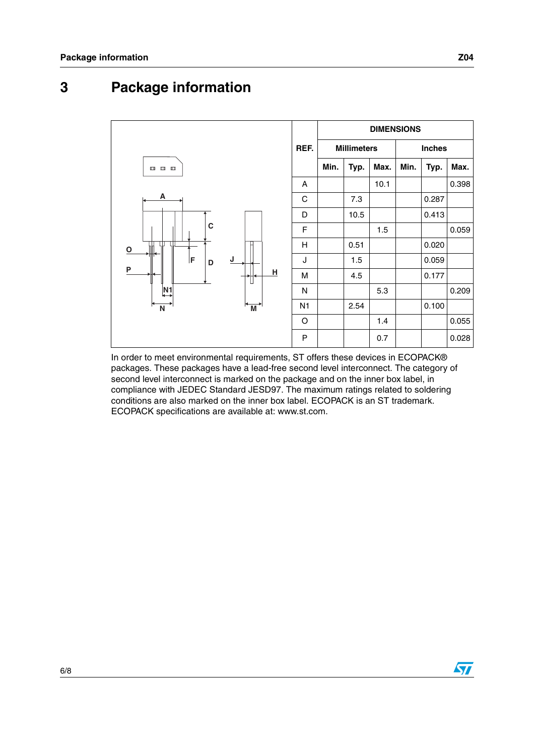## **3 Package information**



In order to meet environmental requirements, ST offers these devices in ECOPACK® packages. These packages have a lead-free second level interconnect. The category of second level interconnect is marked on the package and on the inner box label, in compliance with JEDEC Standard JESD97. The maximum ratings related to soldering conditions are also marked on the inner box label. ECOPACK is an ST trademark. ECOPACK specifications are available at: www.st.com.

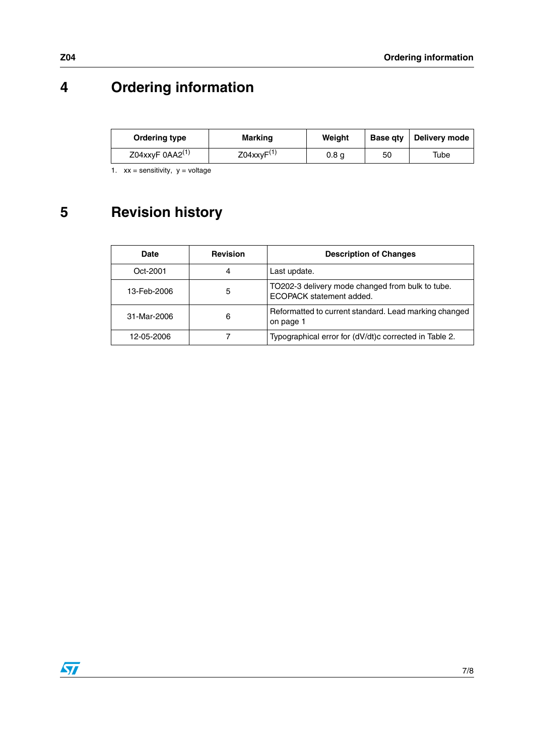# **4 Ordering information**

| Ordering type        | <b>Marking</b>   | Weiaht |    | Base gty   Delivery mode |
|----------------------|------------------|--------|----|--------------------------|
| Z04xxyF $0AA2^{(1)}$ | $Z04$ xxy $F(1)$ | 0.8 a  | 50 | Tube                     |

<span id="page-6-0"></span>1.  $xx =$  sensitivity,  $y =$  voltage

# **5 Revision history**

| <b>Date</b> | <b>Revision</b> | <b>Description of Changes</b>                                                |
|-------------|-----------------|------------------------------------------------------------------------------|
| Oct-2001    | 4               | Last update.                                                                 |
| 13-Feb-2006 | 5               | TO202-3 delivery mode changed from bulk to tube.<br>ECOPACK statement added. |
| 31-Mar-2006 | 6               | Reformatted to current standard. Lead marking changed<br>on page 1           |
| 12-05-2006  |                 | Typographical error for (dV/dt)c corrected in Table 2.                       |